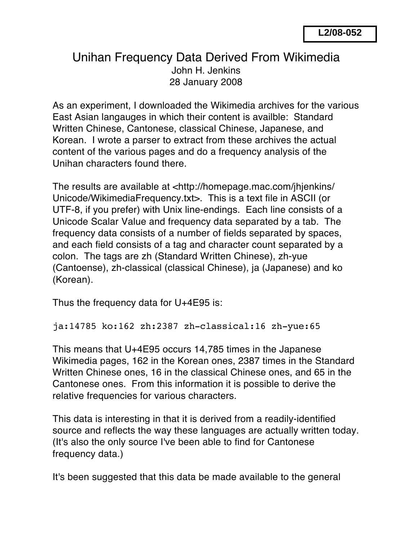## Unihan Frequency Data Derived From Wikimedia John H. Jenkins 28 January 2008

As an experiment, I downloaded the Wikimedia archives for the various East Asian langauges in which their content is availble: Standard Written Chinese, Cantonese, classical Chinese, Japanese, and Korean. I wrote a parser to extract from these archives the actual content of the various pages and do a frequency analysis of the Unihan characters found there.

The results are available at <http://homepage.mac.com/jhjenkins/ Unicode/WikimediaFrequency.txt>. This is a text file in ASCII (or UTF-8, if you prefer) with Unix line-endings. Each line consists of a Unicode Scalar Value and frequency data separated by a tab. The frequency data consists of a number of fields separated by spaces, and each field consists of a tag and character count separated by a colon. The tags are zh (Standard Written Chinese), zh-yue (Cantoense), zh-classical (classical Chinese), ja (Japanese) and ko (Korean).

Thus the frequency data for U+4E95 is:

ja:14785 ko:162 zh:2387 zh-classical:16 zh-yue:65

This means that U+4E95 occurs 14,785 times in the Japanese Wikimedia pages, 162 in the Korean ones, 2387 times in the Standard Written Chinese ones, 16 in the classical Chinese ones, and 65 in the Cantonese ones. From this information it is possible to derive the relative frequencies for various characters.

This data is interesting in that it is derived from a readily-identified source and reflects the way these languages are actually written today. (It's also the only source I've been able to find for Cantonese frequency data.)

It's been suggested that this data be made available to the general